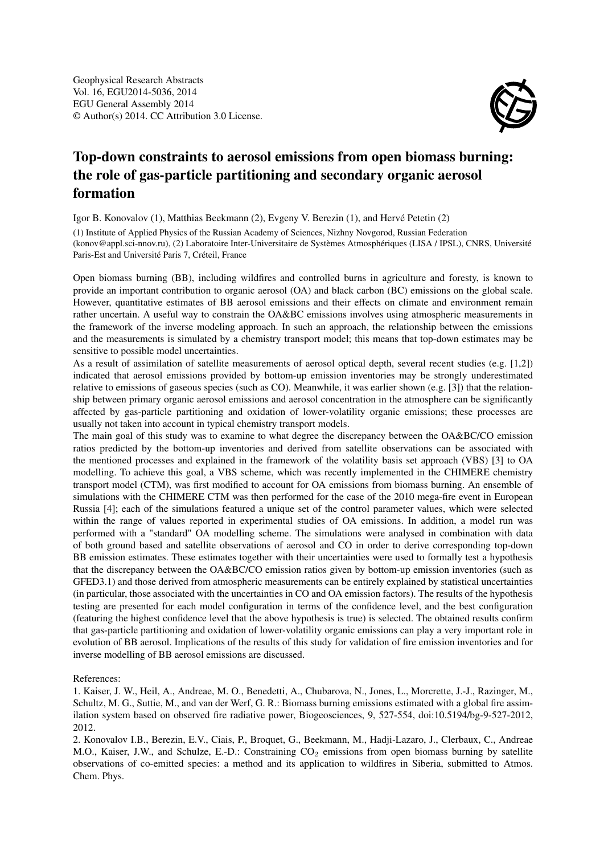

## Top-down constraints to aerosol emissions from open biomass burning: the role of gas-particle partitioning and secondary organic aerosol formation

Igor B. Konovalov (1), Matthias Beekmann (2), Evgeny V. Berezin (1), and Hervé Petetin (2)

(1) Institute of Applied Physics of the Russian Academy of Sciences, Nizhny Novgorod, Russian Federation (konov@appl.sci-nnov.ru), (2) Laboratoire Inter-Universitaire de Systèmes Atmosphériques (LISA / IPSL), CNRS, Université Paris-Est and Université Paris 7, Créteil, France

Open biomass burning (BB), including wildfires and controlled burns in agriculture and foresty, is known to provide an important contribution to organic aerosol (OA) and black carbon (BC) emissions on the global scale. However, quantitative estimates of BB aerosol emissions and their effects on climate and environment remain rather uncertain. A useful way to constrain the OA&BC emissions involves using atmospheric measurements in the framework of the inverse modeling approach. In such an approach, the relationship between the emissions and the measurements is simulated by a chemistry transport model; this means that top-down estimates may be sensitive to possible model uncertainties.

As a result of assimilation of satellite measurements of aerosol optical depth, several recent studies (e.g. [1,2]) indicated that aerosol emissions provided by bottom-up emission inventories may be strongly underestimated relative to emissions of gaseous species (such as CO). Meanwhile, it was earlier shown (e.g. [3]) that the relationship between primary organic aerosol emissions and aerosol concentration in the atmosphere can be significantly affected by gas-particle partitioning and oxidation of lower-volatility organic emissions; these processes are usually not taken into account in typical chemistry transport models.

The main goal of this study was to examine to what degree the discrepancy between the OA&BC/CO emission ratios predicted by the bottom-up inventories and derived from satellite observations can be associated with the mentioned processes and explained in the framework of the volatility basis set approach (VBS) [3] to OA modelling. To achieve this goal, a VBS scheme, which was recently implemented in the CHIMERE chemistry transport model (CTM), was first modified to account for OA emissions from biomass burning. An ensemble of simulations with the CHIMERE CTM was then performed for the case of the 2010 mega-fire event in European Russia [4]; each of the simulations featured a unique set of the control parameter values, which were selected within the range of values reported in experimental studies of OA emissions. In addition, a model run was performed with a "standard" OA modelling scheme. The simulations were analysed in combination with data of both ground based and satellite observations of aerosol and CO in order to derive corresponding top-down BB emission estimates. These estimates together with their uncertainties were used to formally test a hypothesis that the discrepancy between the OA&BC/CO emission ratios given by bottom-up emission inventories (such as GFED3.1) and those derived from atmospheric measurements can be entirely explained by statistical uncertainties (in particular, those associated with the uncertainties in CO and OA emission factors). The results of the hypothesis testing are presented for each model configuration in terms of the confidence level, and the best configuration (featuring the highest confidence level that the above hypothesis is true) is selected. The obtained results confirm that gas-particle partitioning and oxidation of lower-volatility organic emissions can play a very important role in evolution of BB aerosol. Implications of the results of this study for validation of fire emission inventories and for inverse modelling of BB aerosol emissions are discussed.

References:

1. Kaiser, J. W., Heil, A., Andreae, M. O., Benedetti, A., Chubarova, N., Jones, L., Morcrette, J.-J., Razinger, M., Schultz, M. G., Suttie, M., and van der Werf, G. R.: Biomass burning emissions estimated with a global fire assimilation system based on observed fire radiative power, Biogeosciences, 9, 527-554, doi:10.5194/bg-9-527-2012, 2012.

2. Konovalov I.B., Berezin, E.V., Ciais, P., Broquet, G., Beekmann, M., Hadji-Lazaro, J., Clerbaux, C., Andreae M.O., Kaiser, J.W., and Schulze, E.-D.: Constraining CO<sub>2</sub> emissions from open biomass burning by satellite observations of co-emitted species: a method and its application to wildfires in Siberia, submitted to Atmos. Chem. Phys.